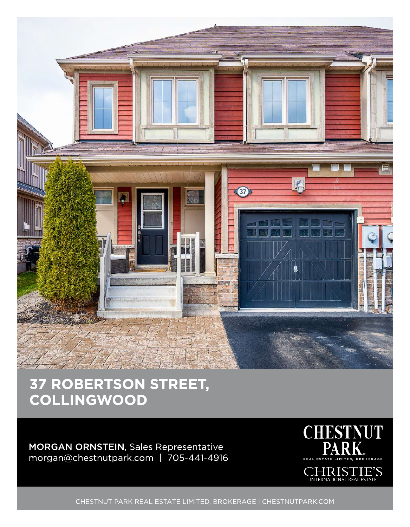

## 37 ROBERTSON STREET, **COLLINGWOOD**

MORGAN ORNSTEIN, Sales Representative morgan@chestnutpark.com | 705-441-4916



CHESTNUT PARK REAL ESTATE LIMITED, BROKERAGE | CHESTNUTPARK.COM